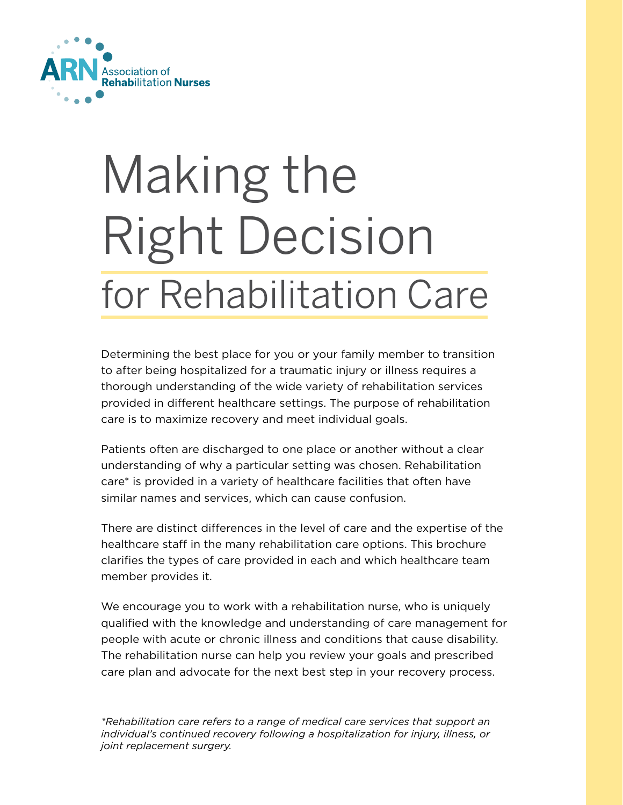

# Making the Right Decision for Rehabilitation Care

Determining the best place for you or your family member to transition to after being hospitalized for a traumatic injury or illness requires a thorough understanding of the wide variety of rehabilitation services provided in different healthcare settings. The purpose of rehabilitation care is to maximize recovery and meet individual goals.

Patients often are discharged to one place or another without a clear understanding of why a particular setting was chosen. Rehabilitation care\* is provided in a variety of healthcare facilities that often have similar names and services, which can cause confusion.

There are distinct differences in the level of care and the expertise of the healthcare staff in the many rehabilitation care options. This brochure clarifies the types of care provided in each and which healthcare team member provides it.

We encourage you to work with a rehabilitation nurse, who is uniquely qualified with the knowledge and understanding of care management for people with acute or chronic illness and conditions that cause disability. The rehabilitation nurse can help you review your goals and prescribed care plan and advocate for the next best step in your recovery process.

*\*Rehabilitation care refers to a range of medical care services that support an individual's continued recovery following a hospitalization for injury, illness, or joint replacement surgery.*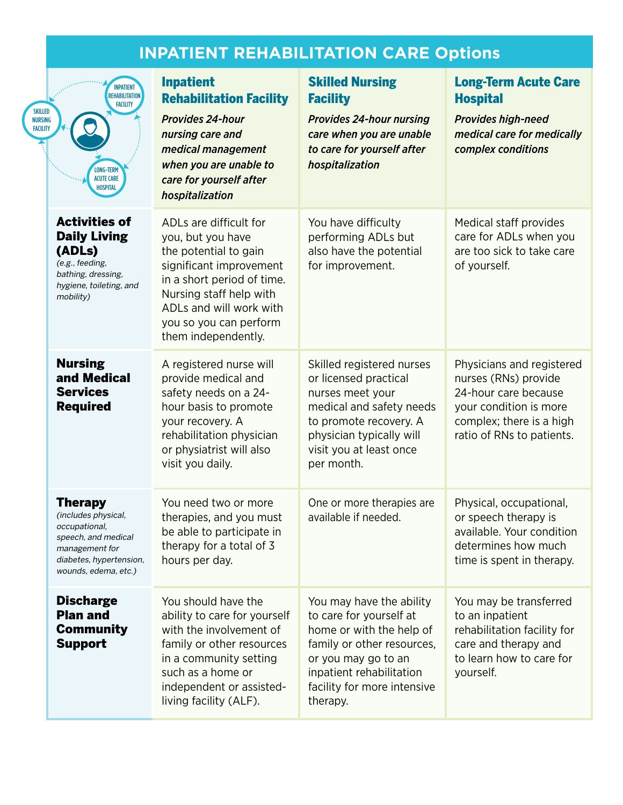# **INPATIENT REHABILITATION CARE Options**

| <b>SKILLED</b><br><b>NURSING</b><br><b>FACILITY</b> | <b>INPATIENT</b><br><b>REHABILITATION</b><br><b>FACILITY</b><br>LONG-TERM<br><b>ACUTE CARE</b><br><b>HOSPITAL</b>                                  | <b>Inpatient</b><br><b>Rehabilitation Facility</b><br><b>Provides 24-hour</b><br>nursing care and<br>medical management<br>when you are unable to<br>care for yourself after<br>hospitalization                                      | <b>Skilled Nursing</b><br><b>Facility</b><br><b>Provides 24-hour nursing</b><br>care when you are unable<br>to care for yourself after<br>hospitalization                                                   | <b>Long-Term Acute Care</b><br><b>Hospital</b><br><b>Provides high-need</b><br>medical care for medically<br>complex conditions                              |
|-----------------------------------------------------|----------------------------------------------------------------------------------------------------------------------------------------------------|--------------------------------------------------------------------------------------------------------------------------------------------------------------------------------------------------------------------------------------|-------------------------------------------------------------------------------------------------------------------------------------------------------------------------------------------------------------|--------------------------------------------------------------------------------------------------------------------------------------------------------------|
|                                                     | <b>Activities of</b><br><b>Daily Living</b><br>(ADLs)<br>(e.g., feeding,<br>bathing, dressing,<br>hygiene, toileting, and<br>mobility)             | ADLs are difficult for<br>you, but you have<br>the potential to gain<br>significant improvement<br>in a short period of time.<br>Nursing staff help with<br>ADLs and will work with<br>you so you can perform<br>them independently. | You have difficulty<br>performing ADLs but<br>also have the potential<br>for improvement.                                                                                                                   | Medical staff provides<br>care for ADLs when you<br>are too sick to take care<br>of yourself.                                                                |
|                                                     | <b>Nursing</b><br>and Medical<br><b>Services</b><br><b>Required</b>                                                                                | A registered nurse will<br>provide medical and<br>safety needs on a 24-<br>hour basis to promote<br>your recovery. A<br>rehabilitation physician<br>or physiatrist will also<br>visit you daily.                                     | Skilled registered nurses<br>or licensed practical<br>nurses meet your<br>medical and safety needs<br>to promote recovery. A<br>physician typically will<br>visit you at least once<br>per month.           | Physicians and registered<br>nurses (RNs) provide<br>24-hour care because<br>your condition is more<br>complex; there is a high<br>ratio of RNs to patients. |
|                                                     | <b>Therapy</b><br>(includes physical,<br>occupational,<br>speech, and medical<br>management for<br>diabetes, hypertension,<br>wounds, edema, etc.) | You need two or more<br>therapies, and you must<br>be able to participate in<br>therapy for a total of 3<br>hours per day.                                                                                                           | One or more therapies are<br>available if needed.                                                                                                                                                           | Physical, occupational,<br>or speech therapy is<br>available. Your condition<br>determines how much<br>time is spent in therapy.                             |
|                                                     | <b>Discharge</b><br><b>Plan and</b><br><b>Community</b><br><b>Support</b>                                                                          | You should have the<br>ability to care for yourself<br>with the involvement of<br>family or other resources<br>in a community setting<br>such as a home or<br>independent or assisted-<br>living facility (ALF).                     | You may have the ability<br>to care for yourself at<br>home or with the help of<br>family or other resources,<br>or you may go to an<br>inpatient rehabilitation<br>facility for more intensive<br>therapy. | You may be transferred<br>to an inpatient<br>rehabilitation facility for<br>care and therapy and<br>to learn how to care for<br>yourself.                    |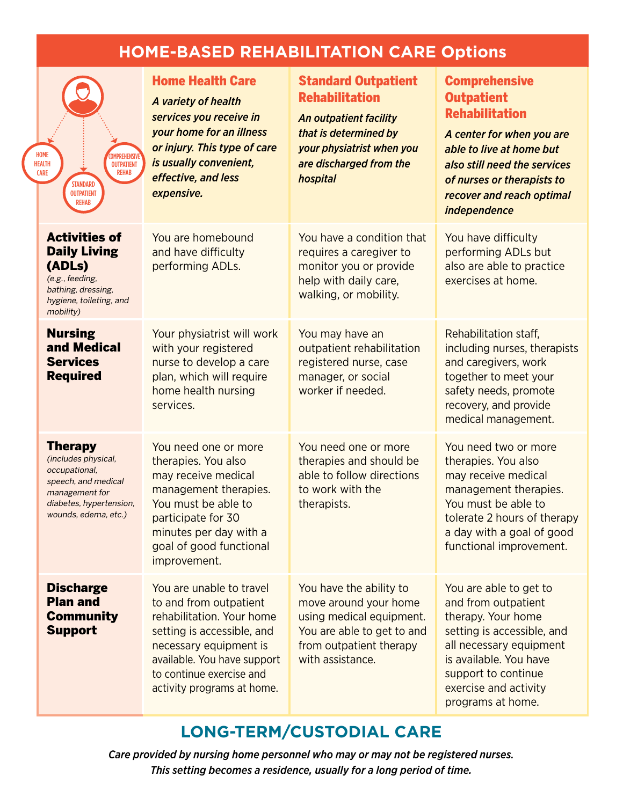## **HOME-BASED REHABILITATION CARE Options**

|  | HOME<br><b>DMPREHENSIVE</b><br><b>HEALTH</b><br><b>OUTPATIENT</b><br><b>REHAB</b><br><b>CARE</b><br><b>STANDARD</b><br><b>OUTPATIENT</b><br><b>REHAB</b> | <b>Home Health Care</b><br>A variety of health<br>services you receive in<br>your home for an illness<br>or injury. This type of care<br>is usually convenient,<br>effective, and less<br>expensive.                             | <b>Standard Outpatient</b><br><b>Rehabilitation</b><br>An outpatient facility<br>that is determined by<br>your physiatrist when you<br>are discharged from the<br>hospital | <b>Comprehensive</b><br><b>Outpatient</b><br><b>Rehabilitation</b><br>A center for when you are<br>able to live at home but<br>also still need the services<br>of nurses or therapists to<br>recover and reach optimal<br><i>independence</i> |
|--|----------------------------------------------------------------------------------------------------------------------------------------------------------|----------------------------------------------------------------------------------------------------------------------------------------------------------------------------------------------------------------------------------|----------------------------------------------------------------------------------------------------------------------------------------------------------------------------|-----------------------------------------------------------------------------------------------------------------------------------------------------------------------------------------------------------------------------------------------|
|  | <b>Activities of</b><br><b>Daily Living</b><br>(ADLs)<br>(e.g., feeding,<br>bathing, dressing,<br>hygiene, toileting, and<br>mobility)                   | You are homebound<br>and have difficulty<br>performing ADLs.                                                                                                                                                                     | You have a condition that<br>requires a caregiver to<br>monitor you or provide<br>help with daily care,<br>walking, or mobility.                                           | You have difficulty<br>performing ADLs but<br>also are able to practice<br>exercises at home.                                                                                                                                                 |
|  | <b>Nursing</b><br>and Medical<br><b>Services</b><br><b>Required</b>                                                                                      | Your physiatrist will work<br>with your registered<br>nurse to develop a care<br>plan, which will require<br>home health nursing<br>services.                                                                                    | You may have an<br>outpatient rehabilitation<br>registered nurse, case<br>manager, or social<br>worker if needed.                                                          | Rehabilitation staff.<br>including nurses, therapists<br>and caregivers, work<br>together to meet your<br>safety needs, promote<br>recovery, and provide<br>medical management.                                                               |
|  | <b>Therapy</b><br>(includes physical,<br>occupational,<br>speech, and medical<br>management for<br>diabetes, hypertension,<br>wounds, edema, etc.)       | You need one or more<br>therapies. You also<br>may receive medical<br>management therapies.<br>You must be able to<br>participate for 30<br>minutes per day with a<br>goal of good functional<br>improvement.                    | You need one or more<br>therapies and should be<br>able to follow directions<br>to work with the<br>therapists.                                                            | You need two or more<br>therapies. You also<br>may receive medical<br>management therapies.<br>You must be able to<br>tolerate 2 hours of therapy<br>a day with a goal of good<br>functional improvement.                                     |
|  | <b>Discharge</b><br><b>Plan and</b><br><b>Community</b><br><b>Support</b>                                                                                | You are unable to travel<br>to and from outpatient<br>rehabilitation. Your home<br>setting is accessible, and<br>necessary equipment is<br>available. You have support<br>to continue exercise and<br>activity programs at home. | You have the ability to<br>move around your home<br>using medical equipment.<br>You are able to get to and<br>from outpatient therapy<br>with assistance.                  | You are able to get to<br>and from outpatient<br>therapy. Your home<br>setting is accessible, and<br>all necessary equipment<br>is available. You have<br>support to continue<br>exercise and activity<br>programs at home.                   |

### **LONG-TERM/CUSTODIAL CARE**

*Care provided by nursing home personnel who may or may not be registered nurses. This setting becomes a residence, usually for a long period of time.*